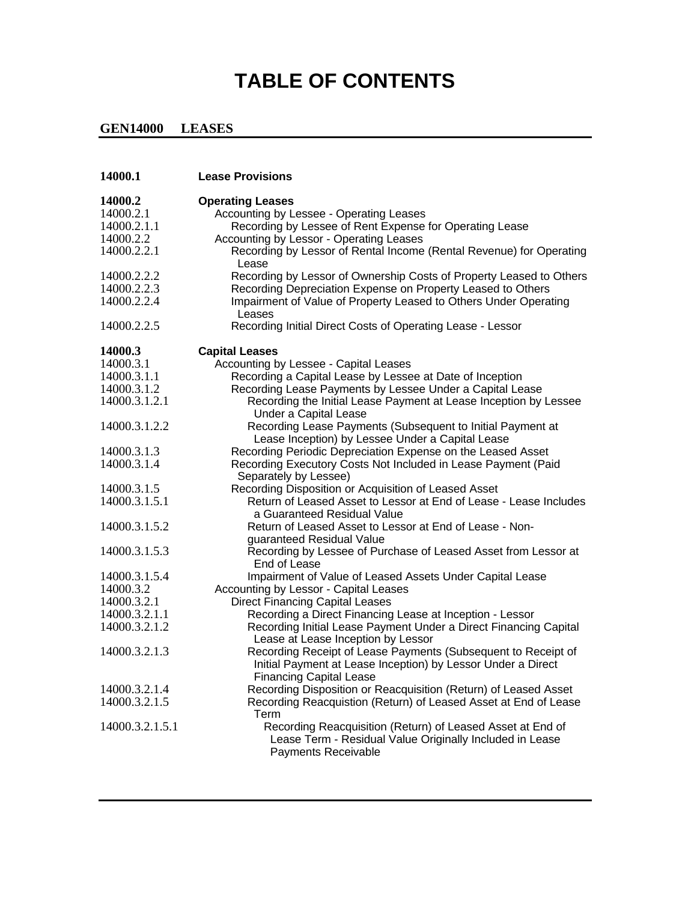## **TABLE OF CONTENTS**

## **GEN14000 LEASES**

| 14000.1         | <b>Lease Provisions</b>                                                                                                                       |
|-----------------|-----------------------------------------------------------------------------------------------------------------------------------------------|
| 14000.2         | <b>Operating Leases</b>                                                                                                                       |
| 14000.2.1       | Accounting by Lessee - Operating Leases                                                                                                       |
| 14000.2.1.1     | Recording by Lessee of Rent Expense for Operating Lease                                                                                       |
| 14000.2.2       | Accounting by Lessor - Operating Leases                                                                                                       |
| 14000.2.2.1     | Recording by Lessor of Rental Income (Rental Revenue) for Operating<br>Lease                                                                  |
| 14000.2.2.2     | Recording by Lessor of Ownership Costs of Property Leased to Others                                                                           |
| 14000.2.2.3     | Recording Depreciation Expense on Property Leased to Others                                                                                   |
| 14000.2.2.4     | Impairment of Value of Property Leased to Others Under Operating<br>Leases                                                                    |
| 14000.2.2.5     | Recording Initial Direct Costs of Operating Lease - Lessor                                                                                    |
| 14000.3         | <b>Capital Leases</b>                                                                                                                         |
| 14000.3.1       | Accounting by Lessee - Capital Leases                                                                                                         |
| 14000.3.1.1     | Recording a Capital Lease by Lessee at Date of Inception                                                                                      |
| 14000.3.1.2     | Recording Lease Payments by Lessee Under a Capital Lease                                                                                      |
| 14000.3.1.2.1   | Recording the Initial Lease Payment at Lease Inception by Lessee<br><b>Under a Capital Lease</b>                                              |
| 14000.3.1.2.2   | Recording Lease Payments (Subsequent to Initial Payment at                                                                                    |
|                 | Lease Inception) by Lessee Under a Capital Lease                                                                                              |
| 14000.3.1.3     | Recording Periodic Depreciation Expense on the Leased Asset                                                                                   |
| 14000.3.1.4     | Recording Executory Costs Not Included in Lease Payment (Paid<br>Separately by Lessee)                                                        |
| 14000.3.1.5     | Recording Disposition or Acquisition of Leased Asset                                                                                          |
| 14000.3.1.5.1   | Return of Leased Asset to Lessor at End of Lease - Lease Includes<br>a Guaranteed Residual Value                                              |
| 14000.3.1.5.2   | Return of Leased Asset to Lessor at End of Lease - Non-                                                                                       |
|                 | guaranteed Residual Value                                                                                                                     |
| 14000.3.1.5.3   | Recording by Lessee of Purchase of Leased Asset from Lessor at<br>End of Lease                                                                |
| 14000.3.1.5.4   | Impairment of Value of Leased Assets Under Capital Lease                                                                                      |
| 14000.3.2       | Accounting by Lessor - Capital Leases                                                                                                         |
| 14000.3.2.1     | <b>Direct Financing Capital Leases</b>                                                                                                        |
| 14000.3.2.1.1   | Recording a Direct Financing Lease at Inception - Lessor                                                                                      |
| 14000.3.2.1.2   | Recording Initial Lease Payment Under a Direct Financing Capital<br>Lease at Lease Inception by Lessor                                        |
| 14000.3.2.1.3   | Recording Receipt of Lease Payments (Subsequent to Receipt of<br>Initial Payment at Lease Inception) by Lessor Under a Direct                 |
|                 | <b>Financing Capital Lease</b>                                                                                                                |
| 14000.3.2.1.4   | Recording Disposition or Reacquisition (Return) of Leased Asset                                                                               |
| 14000.3.2.1.5   | Recording Reacquistion (Return) of Leased Asset at End of Lease<br>Term                                                                       |
| 14000.3.2.1.5.1 | Recording Reacquisition (Return) of Leased Asset at End of<br>Lease Term - Residual Value Originally Included in Lease<br>Payments Receivable |